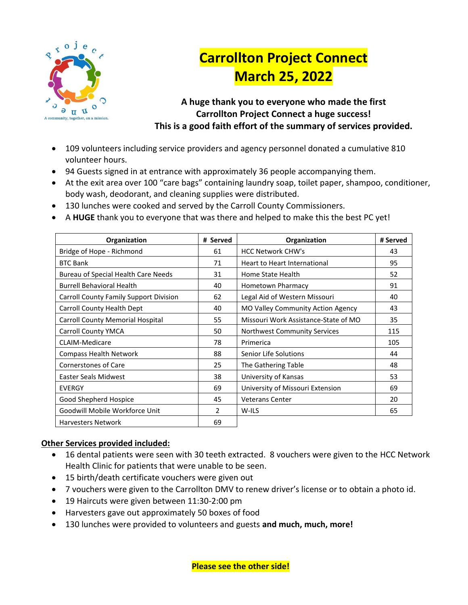

# **Carrollton Project Connect March 25, 2022**

**A huge thank you to everyone who made the first Carrollton Project Connect a huge success! This is a good faith effort of the summary of services provided.**

- 109 volunteers including service providers and agency personnel donated a cumulative 810 volunteer hours.
- 94 Guests signed in at entrance with approximately 36 people accompanying them.
- At the exit area over 100 "care bags" containing laundry soap, toilet paper, shampoo, conditioner, body wash, deodorant, and cleaning supplies were distributed.
- 130 lunches were cooked and served by the Carroll County Commissioners.
- A **HUGE** thank you to everyone that was there and helped to make this the best PC yet!

| Organization                                  | # Served      | Organization                         | # Served |
|-----------------------------------------------|---------------|--------------------------------------|----------|
| Bridge of Hope - Richmond                     | 61            | <b>HCC Network CHW's</b>             | 43       |
| <b>BTC Bank</b>                               | 71            | <b>Heart to Heart International</b>  | 95       |
| Bureau of Special Health Care Needs           | 31            | Home State Health                    | 52       |
| <b>Burrell Behavioral Health</b>              | 40            | Hometown Pharmacy                    | 91       |
| <b>Carroll County Family Support Division</b> | 62            | Legal Aid of Western Missouri        | 40       |
| Carroll County Health Dept                    | 40            | MO Valley Community Action Agency    | 43       |
| Carroll County Memorial Hospital              | 55            | Missouri Work Assistance-State of MO | 35       |
| <b>Carroll County YMCA</b>                    | 50            | Northwest Community Services         | 115      |
| <b>CLAIM-Medicare</b>                         | 78            | Primerica                            | 105      |
| <b>Compass Health Network</b>                 | 88            | Senior Life Solutions<br>44          |          |
| <b>Cornerstones of Care</b>                   | 25            | The Gathering Table                  | 48       |
| Easter Seals Midwest                          | 38            | University of Kansas                 |          |
| <b>EVERGY</b>                                 | 69            | University of Missouri Extension     | 69       |
| Good Shepherd Hospice                         | 45            | <b>Veterans Center</b>               | 20       |
| Goodwill Mobile Workforce Unit                | $\mathcal{P}$ | W-ILS<br>65                          |          |
| <b>Harvesters Network</b>                     | 69            |                                      |          |

#### **Other Services provided included:**

- 16 dental patients were seen with 30 teeth extracted. 8 vouchers were given to the HCC Network Health Clinic for patients that were unable to be seen.
- 15 birth/death certificate vouchers were given out
- 7 vouchers were given to the Carrollton DMV to renew driver's license or to obtain a photo id.
- 19 Haircuts were given between 11:30-2:00 pm
- Harvesters gave out approximately 50 boxes of food
- 130 lunches were provided to volunteers and guests **and much, much, more!**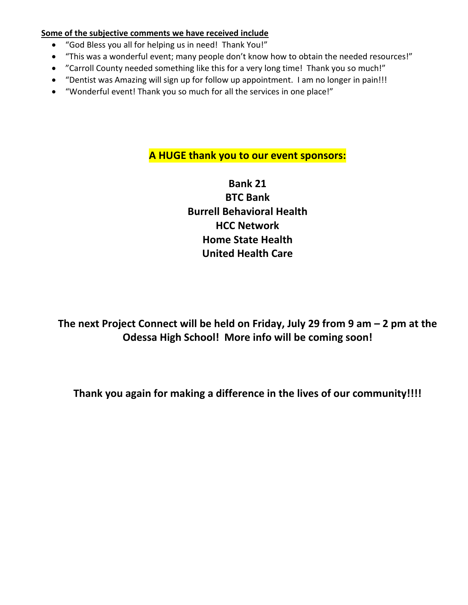#### **Some of the subjective comments we have received include**

- "God Bless you all for helping us in need! Thank You!"
- "This was a wonderful event; many people don't know how to obtain the needed resources!"
- "Carroll County needed something like this for a very long time! Thank you so much!"
- "Dentist was Amazing will sign up for follow up appointment. I am no longer in pain!!!
- "Wonderful event! Thank you so much for all the services in one place!"

### **A HUGE thank you to our event sponsors:**

**Bank 21 BTC Bank Burrell Behavioral Health HCC Network Home State Health United Health Care**

**The next Project Connect will be held on Friday, July 29 from 9 am – 2 pm at the Odessa High School! More info will be coming soon!** 

**Thank you again for making a difference in the lives of our community!!!!**